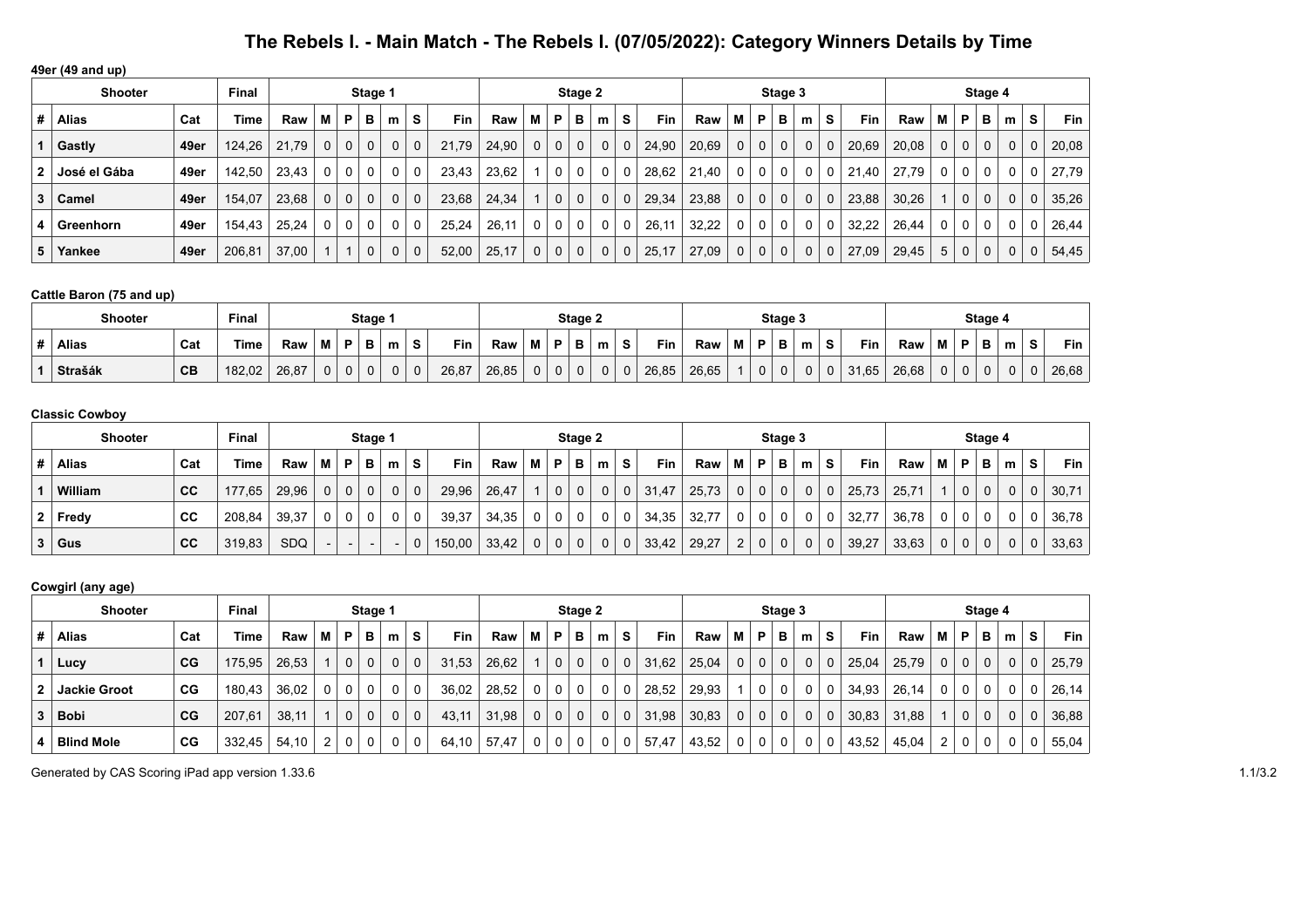| 49er (49 and up) |                |      |        |       |                |             |              |              |             |            |       |   |              |              |             |              |            |       |                |              |              |                |              |            |       |          |                |             |             |              |            |
|------------------|----------------|------|--------|-------|----------------|-------------|--------------|--------------|-------------|------------|-------|---|--------------|--------------|-------------|--------------|------------|-------|----------------|--------------|--------------|----------------|--------------|------------|-------|----------|----------------|-------------|-------------|--------------|------------|
|                  | <b>Shooter</b> |      | Final  |       |                |             | Stage 1      |              |             |            |       |   |              | Stage 2      |             |              |            |       |                |              | Stage 3      |                |              |            |       |          |                | Stage 4     |             |              |            |
| #                | Alias          | Cat  | Time   | Raw   | м              | P           | в            | m            | s           | <b>Fin</b> | Raw   | м | P            | в            | m           | S            | <b>Fin</b> | Raw   | м              | P            | в            | m              | S.           | <b>Fin</b> | Raw   | M        | P              | в           | m           | s            | <b>Fin</b> |
|                  | Gastly         | 49er | 124,26 | 21.79 | 0 <sup>1</sup> | $\mathbf 0$ | $\mathbf 0$  | 0            | $\mathbf 0$ | 21.79      | 24.90 | 0 | $\mathbf{0}$ | $\mathbf{0}$ | $\mathbf 0$ | $\mathbf 0$  | 24,90      | 20,69 | 0 <sup>1</sup> | 0            | $\Omega$     | 0 <sup>1</sup> | $\mathbf{0}$ | 20,69      | 20,08 | $\Omega$ | 0 <sup>1</sup> | $\mathbf 0$ | $\mathbf 0$ | $\mathbf{0}$ | 20,08      |
| 2                | José el Gába   | 49er | 142.50 | 23,43 | 0 <sup>1</sup> | 0           | 0            | 0            | 0           | 23,43      | 23,62 |   | 0            | 0            | 0           | 0            | 28,62      | 21.40 | 0              | $\mathbf{0}$ | $\mathbf{0}$ | 0 <sup>1</sup> | 0            | 21,40      | 27.79 | 0        | $\mathbf{0}$   | 0           | 0           | 0            | 27,79      |
| 3                | Camel          | 49er | 154,07 | 23,68 | 0 <sup>1</sup> | $\mathbf 0$ | $\mathbf 0$  | $\mathbf{0}$ | $\mathbf 0$ | 23,68      | 24.34 |   | $\mathbf{0}$ | $\mathbf 0$  | $\mathbf 0$ | $\Omega$     | 29,34      | 23,88 | 0 <sup>1</sup> | 0            | $\mathbf 0$  | 0 <sup>1</sup> | 0            | 23,88      | 30,26 |          | $\overline{0}$ | $\mathbf 0$ | $\mathbf 0$ | 0            | 35,26      |
| 4                | Greenhorn      | 49er | 154,43 | 25,24 | 0 <sup>1</sup> | $\mathbf 0$ | 0            | 0            | $\Omega$    | 25.24      | 26,11 | 0 | 0            | 0            | 0           | $\mathbf{0}$ | 26,11      | 32,22 | 0              | 0            | 0            | $\mathbf{0}$   | 0            | 32.22      | 26.44 |          | $\mathbf{0}$   | $\Omega$    | 0           |              | 26,44      |
| 5                | Yankee         | 49er | 206,81 | 37,00 |                |             | $\mathbf{0}$ | 0            | $\mathbf 0$ | 52,00      | 25,17 | 0 | 0            | 0            | $\mathbf 0$ | $\mathbf 0$  | 25,17      | 27,09 | $\mathbf 0$    | 0            | $\mathbf 0$  | 0 <sup>1</sup> | 0            | 27,09      | 29,45 | 5        | $\mathbf 0$    | $\mathbf 0$ | $\mathbf 0$ | 0            | 54,45      |

### **Cattle Baron (75 and up)**

| <b>Shooter</b> | Final |        |       |   | Stage 1  |        |   |          |       |       | Stage 2 |   |     |       |       |   | Stage 3 |   |   |   |       |       |          | Stage 4 |  |          |                         |       |
|----------------|-------|--------|-------|---|----------|--------|---|----------|-------|-------|---------|---|-----|-------|-------|---|---------|---|---|---|-------|-------|----------|---------|--|----------|-------------------------|-------|
| <b>Alias</b>   | Cat   | Time   | Raw   | M | Þ        | в      | m | <b>S</b> | Fin   | Rav   |         |   | m   | Fin   | Raw   | M | Ð       | в | m | s | Fin   | Raw   | M        | - 60    |  | m        | $\mathbf{\hat{c}}$<br>ວ | Fin   |
| <b>Strašák</b> | CB    | 182,02 | 26,87 | 0 | $\Omega$ | $\sim$ |   | $\Omega$ | 26,87 | 26.85 |         | U | . J | 26,85 | 26.65 |   |         | 0 | 0 | 0 | 31,65 | 26.68 | $\Omega$ |         |  | $\Omega$ |                         | 26,68 |

### **Classic Cowboy**

| <b>Shooter</b> |           | Stage 1 |       |   |                |              |              |          | Stage 2 |       |                |          |          |   |              | Stage 3    |       |                |                |          |              |          | Stage 4    |       |             |                |                |   |    |       |
|----------------|-----------|---------|-------|---|----------------|--------------|--------------|----------|---------|-------|----------------|----------|----------|---|--------------|------------|-------|----------------|----------------|----------|--------------|----------|------------|-------|-------------|----------------|----------------|---|----|-------|
| <b>Alias</b>   | Cat       | Time.   | Raw   | м | P              | в            | m            | S.       | Fin     | Raw   | M              | P.       | в        | m | S.           | <b>Fin</b> | Raw   | M I            | ΉР.            | в        | m            | <b>S</b> | <b>Fin</b> | Raw   | м           | P              | в              | m | S. | Fin   |
| William        | <b>CC</b> | 177,65  | 29,96 | 0 | 0 <sup>1</sup> | $\mathbf{0}$ | $\mathbf{0}$ | $\Omega$ | 29,96   | 26,47 |                | $\Omega$ | $\Omega$ |   | $\Omega$     | 31,47      | 25.73 | 0 <sup>1</sup> | 0 <sup>1</sup> | $\Omega$ | $\mathbf{0}$ |          | 25,73      | 25.71 |             | 0 <sup>1</sup> | $\overline{0}$ |   | 0  | 30,71 |
| $2$ Fredy      | СC        | 208,84  | 39.37 | 0 | $\Omega$       | $\Omega$     | $\mathbf 0$  | $\Omega$ | 39,37   | 34.35 | 0 <sup>1</sup> | $\Omega$ | $\Omega$ |   | $\mathbf{0}$ | 34,35      | 32,77 | 0 <sup>1</sup> | 0 <sup>1</sup> | $\Omega$ | 0            |          | 32,77      | 36,78 | $\Omega$    | 0 <sup>1</sup> | $\Omega$       |   |    | 36,78 |
| $3  $ Gus      | CC        | 319,83  | SDQ   |   |                |              |              |          | 150,00  | 33,42 | 0              | $\Omega$ | $\Omega$ |   | $\mathbf{0}$ | 33,42      | 29,27 | $\overline{2}$ | 0 <sup>1</sup> | $\Omega$ | $\mathbf 0$  | 0        | 39,27      | 33,63 | $\mathbf 0$ | 0 <sup>1</sup> | $\mathbf{0}$   |   |    | 33,63 |

### **Cowgirl (any age)**

| .<br><b>Shooter</b> | <b>Final</b> |        |       |   | Stage 1     |                |              |             |            |       |          | Stage 2      |          |             |                |            |       |                | Stage 3      |                |   |             |       |       |             | Stage 4        |              |          |   |             |
|---------------------|--------------|--------|-------|---|-------------|----------------|--------------|-------------|------------|-------|----------|--------------|----------|-------------|----------------|------------|-------|----------------|--------------|----------------|---|-------------|-------|-------|-------------|----------------|--------------|----------|---|-------------|
| Alias               | Cat          | Time   | Raw   | м | P           | в              | m            | s           | <b>Fin</b> | Raw   | M        | P.           | в        | m           | S.             | <b>Fin</b> | Raw   | МI             | <b>P</b>     | в              | m | S           | Fin   | Raw   | м           | P              | в            | m        | s | Fin $\vert$ |
| Lucy                | CG           | 175,95 | 26,53 |   | $\mathbf 0$ | $\mathbf{0}$   | 0            | $\Omega$    | 31,53      | 26.62 |          | $\mathbf 0$  | 0        | $\mathbf 0$ | 0              | 31.62      | 25.04 | 0 <sup>1</sup> | $\mathbf{0}$ | 0              |   | $\Omega$    | 25,04 | 25,79 | $\mathbf 0$ | 0 <sup>1</sup> | $\mathbf 0$  | 0        | 0 | 25,79       |
| <b>Jackie Groot</b> | CG           | 180.43 | 36.02 | 0 | $\mathbf 0$ | $\mathbf{0}$   | 0            | $\Omega$    | 36,02      | 28,52 | $\Omega$ | $\Omega$     | 0        | 0           |                | 28,52      | 29,93 |                |              | 0 <sup>1</sup> | 0 | 0           | 34,93 | 26,14 | 0           | 0              |              | 0        | 0 | 26,14       |
| <b>Bobi</b>         | CG           | 207,61 | 38,11 |   | $\mathbf 0$ | 0 <sup>1</sup> | $\mathbf{0}$ | $\mathbf 0$ | 43,11      | 31,98 | 0        | $\mathbf{0}$ | $\Omega$ | $\mathbf 0$ | 0 <sup>1</sup> | 31,98      | 30,83 | 0 <sup>1</sup> | $\mathbf{0}$ | $\mathbf{0}$   | 0 | $\mathbf 0$ | 30,83 | 31,88 |             | 0 <sup>1</sup> | $\mathbf{0}$ | $\Omega$ | 0 | 36,88       |
| <b>Blind Mole</b>   | CG           | 332,45 | 54,10 | 2 | $\Omega$    | 0              | $\mathbf{0}$ | 0           | 64,10      | 57,47 |          | $\Omega$     | 0        | 0           |                | 57,47      | 43,52 | $^{\circ}$     |              | $\mathbf{0}$   |   | 0           | 43,52 | 45,04 | 2           | 0              |              | 0        |   | 55,04       |

Generated by CAS Scoring iPad app version 1.33.6 1.1/3.2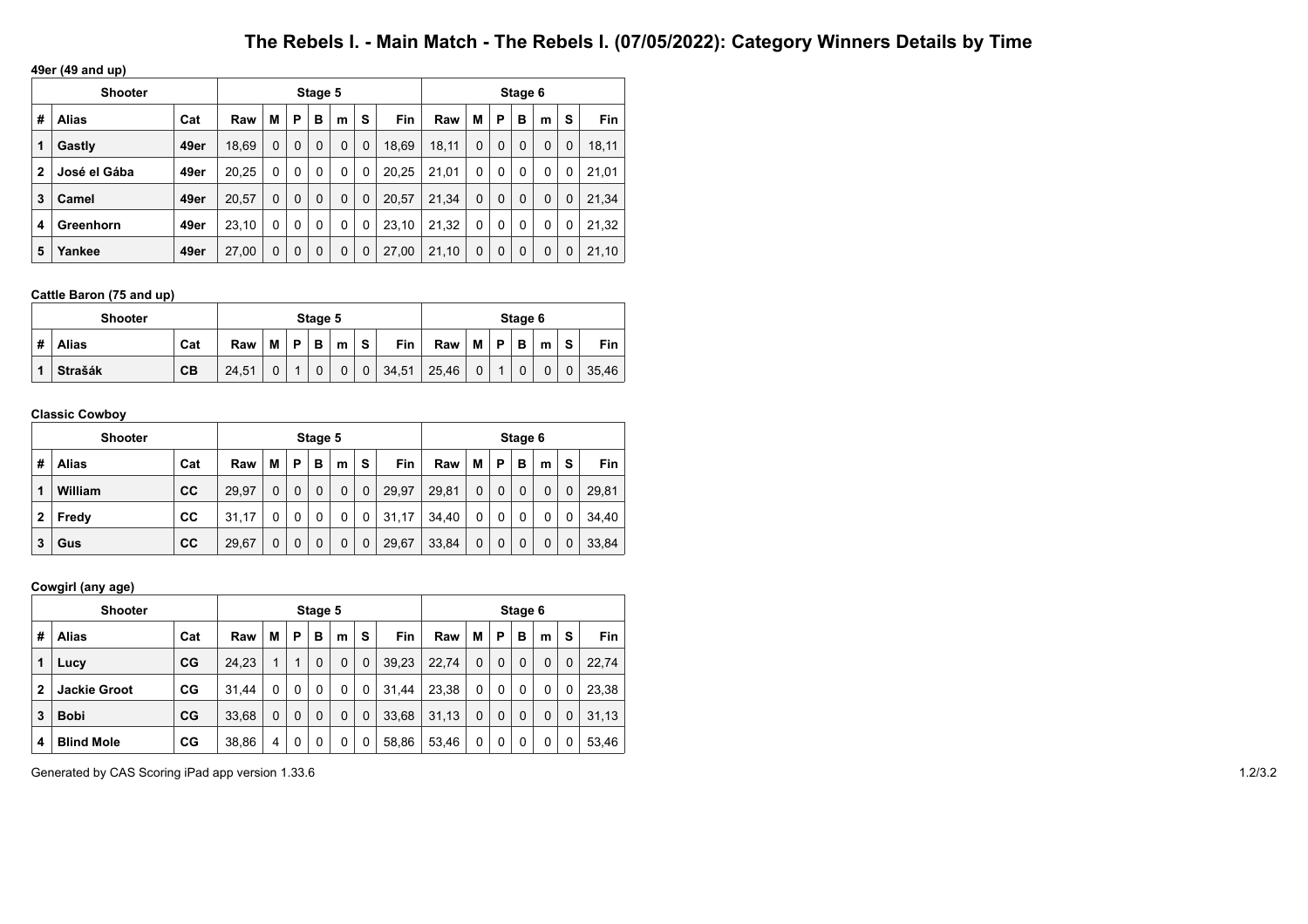**49er (49 and up)**

|              | <b>Shooter</b> |      |       |          |          | Stage 5  |   |             |            |       |             |              | Stage 6     |             |   |       |
|--------------|----------------|------|-------|----------|----------|----------|---|-------------|------------|-------|-------------|--------------|-------------|-------------|---|-------|
| #            | Alias          | Cat  | Raw   | М        | Р        | в        | m | s           | <b>Fin</b> | Raw   | M           | P            | в           | m           | S | Fin   |
| 1            | Gastly         | 49er | 18.69 | $\Omega$ | 0        | 0        | 0 | $\mathbf 0$ | 18.69      | 18,11 | $\Omega$    | $\Omega$     | $\mathbf 0$ | $\Omega$    | 0 | 18,11 |
| $\mathbf{2}$ | José el Gába   | 49er | 20,25 | 0        | 0        | 0        | 0 | 0           | 20,25      | 21.01 | $\Omega$    | $\mathbf{0}$ | 0           | 0           | 0 | 21.01 |
| 3            | Camel          | 49er | 20,57 | $\Omega$ | 0        | 0        | 0 | $\mathbf 0$ | 20.57      | 21.34 | $\mathbf 0$ | $\Omega$     | $\mathbf 0$ | $\mathbf 0$ | 0 | 21,34 |
| 4            | Greenhorn      | 49er | 23,10 | 0        | 0        | $\Omega$ | 0 | 0           | 23,10      | 21,32 | $\Omega$    | 0            | $\Omega$    | 0           | 0 | 21,32 |
| 5            | Yankee         | 49er | 27,00 | $\Omega$ | $\Omega$ | 0        | 0 | $\Omega$    | 27,00      | 21,10 | $\Omega$    | $\Omega$     | $\Omega$    | 0           | 0 | 21,10 |

### **Cattle Baron (75 and up)**

|   | <b>Shooter</b> |     |       |   |   | Stage 5 |   |             |            |       |   |   | Stage 6 |   |   |       |
|---|----------------|-----|-------|---|---|---------|---|-------------|------------|-------|---|---|---------|---|---|-------|
| # | <b>Alias</b>   | Cat | Raw   | M | P | B       | m | S           | <b>Fin</b> | Raw   | M | P | в       | m | s | Fin   |
|   | <b>Strašák</b> | CB  | 24.51 | 0 |   |         | 0 | $\mathbf 0$ | 34,51      | 25,46 | 0 |   | 0       | 0 | 0 | 35.46 |

### **Classic Cowboy**

|              | <b>Shooter</b> |     |       |   |   | Stage 5 |   |             |       |       |   |   | Stage 6 |   |   |       |
|--------------|----------------|-----|-------|---|---|---------|---|-------------|-------|-------|---|---|---------|---|---|-------|
| #            | Alias          | Cat | Raw   | М | Р | в       | m | s           | Fin   | Raw   | M | P | в       | m | s | Fin   |
| 1            | William        | cc  | 29.97 | 0 | 0 | 0       | 0 | 0           | 29,97 | 29,81 | 0 | 0 | 0       | 0 | 0 | 29.81 |
| $\mathbf{2}$ | Fredy          | CC  | 31.17 | 0 | 0 | 0       | 0 | 0           | 31.17 | 34,40 | 0 | 0 | 0       | 0 | 0 | 34.40 |
| 3            | Gus            | cc  | 29.67 | 0 |   | 0       | 0 | $\mathbf 0$ | 29,67 | 33,84 | 0 | 0 | 0       | 0 |   | 33,84 |

### **Cowgirl (any age)**

|   | <b>Shooter</b>      |     |       |          |          | Stage 5     |          |             |       |       |          |   | Stage 6 |             |   |       |
|---|---------------------|-----|-------|----------|----------|-------------|----------|-------------|-------|-------|----------|---|---------|-------------|---|-------|
| # | <b>Alias</b>        | Cat | Raw   | М        | P        | в           | m        | s           | Fin   | Raw   | M        | P | в       | m           | s | Fin   |
| 1 | Lucy                | CG  | 24,23 |          |          | $\mathbf 0$ | $\Omega$ | $\mathbf 0$ | 39,23 | 22,74 | $\Omega$ | 0 | 0       | $\mathbf 0$ | 0 | 22,74 |
| 2 | <b>Jackie Groot</b> | CG  | 31.44 | 0        | 0        | 0           | 0        | 0           | 31.44 | 23,38 | 0        | 0 | 0       | 0           | 0 | 23,38 |
| 3 | <b>Bobi</b>         | CG  | 33,68 | $\Omega$ | $\Omega$ | $\mathbf 0$ | $\Omega$ | $\mathbf 0$ | 33,68 | 31,13 | 0        | 0 | 0       | $\mathbf 0$ | 0 | 31,13 |
| 4 | <b>Blind Mole</b>   | CG  | 38,86 | 4        | 0        | 0           | 0        | 0           | 58,86 | 53,46 | 0        | 0 | 0       | 0           | 0 | 53,46 |

Generated by CAS Scoring iPad app version 1.33.6 1.2/3.2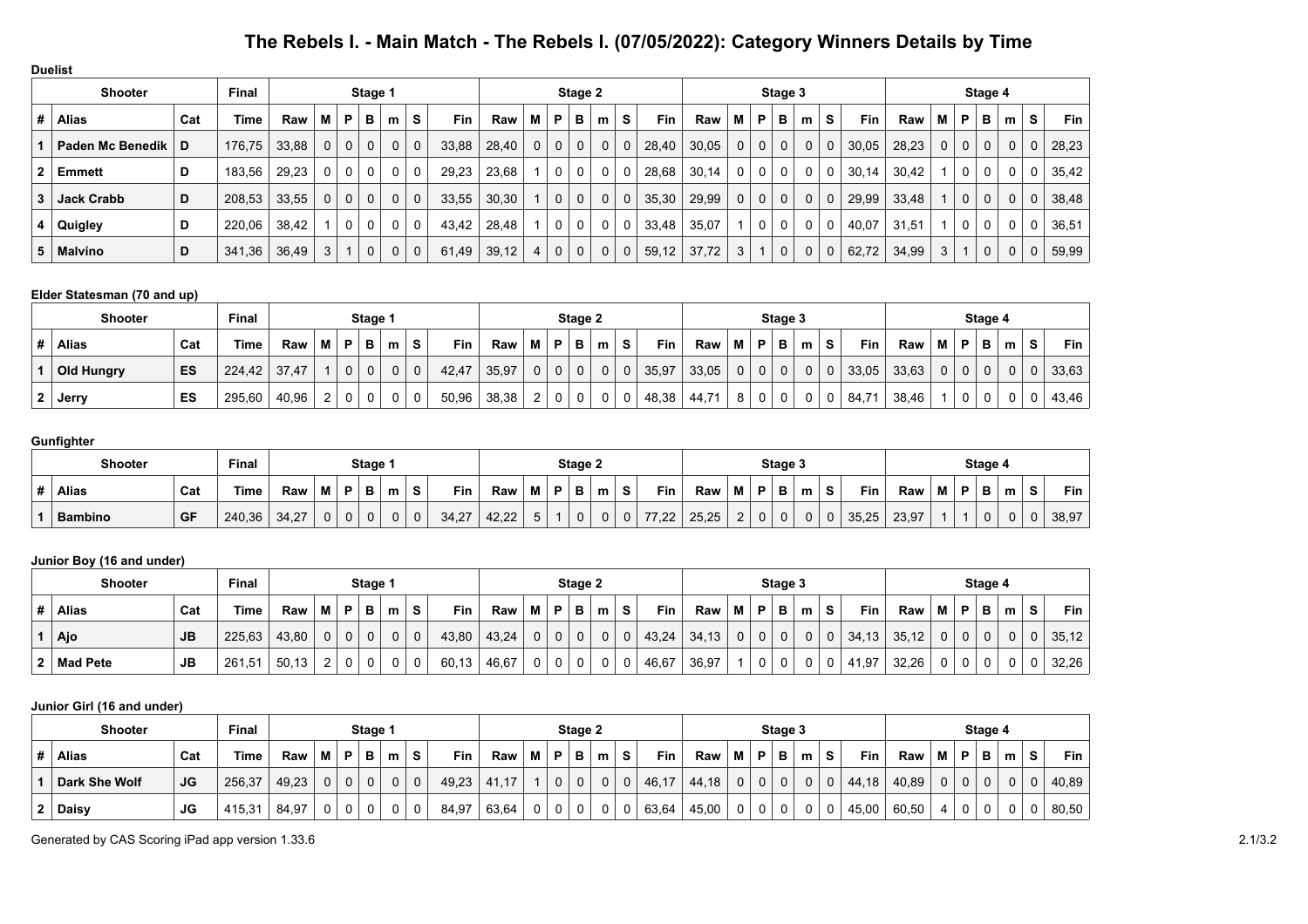| <b>Duelist</b>       |                      |     |              |       |              |             |              |              |              |       |       |   |              |          |             |              |            |       |              |   |             |             |             |       |       |             |                |              |              |    |            |
|----------------------|----------------------|-----|--------------|-------|--------------|-------------|--------------|--------------|--------------|-------|-------|---|--------------|----------|-------------|--------------|------------|-------|--------------|---|-------------|-------------|-------------|-------|-------|-------------|----------------|--------------|--------------|----|------------|
|                      | <b>Shooter</b>       |     | <b>Final</b> |       |              |             | Stage 1      |              |              |       |       |   |              | Stage 2  |             |              |            |       |              |   | Stage 3     |             |             |       |       |             |                | Stage 4      |              |    |            |
| #                    | <b>Alias</b>         | Cat | Time         | Raw   | М            | P           | в            | m            | S            | Fin   | Raw   | М | P            | в        | m           | S.           | <b>Fin</b> | Raw   | M            | P | в           | m           | S.          | Fin   | Raw   | М           | Ρ              | в            | m            | S. | <b>Fin</b> |
|                      | Paden Mc Benedik   D |     | 176,75       | 33,88 | $\mathbf{0}$ | $\mathbf 0$ | 0            | $\mathbf{0}$ | $\mathbf 0$  | 33,88 | 28,40 | 0 | $\mathbf{0}$ | $\Omega$ | $\mathbf 0$ | $\mathbf{0}$ | 28,40      | 30,05 | $\mathbf{0}$ | 0 | $\mathbf 0$ | 0           | $\mathbf 0$ | 30,05 | 28,23 | $\mathbf 0$ | 0 <sup>1</sup> | $\mathbf 0$  | $\Omega$     | 0  | 28,23      |
| $\mathbf{2}^{\circ}$ | <b>Emmett</b>        | D   | 183,56       | 29,23 | 0            | 0           | 0            | 0            | 0            | 29.23 | 23,68 |   | $\mathbf{0}$ | 0        | 0           | 0            | 28,68      | 30,14 | $\mathbf{0}$ | 0 | 0           | 0           | 0           | 30,14 | 30,42 |             | 0              | 0            | $\Omega$     | 0  | 35,42      |
| 3.                   | Jack Crabb           | D   | 208,53       | 33,55 | 0            | $\mathbf 0$ | $\mathbf{0}$ | $\mathbf{0}$ | $\mathbf 0$  | 33,55 | 30,30 |   | $\mathbf{0}$ | $\Omega$ | $\mathbf 0$ | $\mathbf 0$  | 35,30      | 29,99 | $\mathbf{0}$ | 0 | $\mathbf 0$ | 0           | 0           | 29,99 | 33,48 |             | 0 <sup>1</sup> | $\mathbf 0$  | $\mathbf{0}$ | 0  | 38,48      |
|                      | Quigley              | D   | 220,06       | 38,42 |              | 0           | 0            | 0            | $\mathbf{0}$ | 43,42 | 28,48 |   | $\Omega$     | 0        | $\Omega$    | 0            | 33,48      | 35,07 |              | 0 | 0           | 0           | 0           | 40,07 | 31,51 |             | 0 <sup>1</sup> | $\mathbf{0}$ | $\Omega$     | 0  | 36,51      |
| 5.                   | <b>Malvíno</b>       | D   | 341,36       | 36,49 | 3            |             | $\mathbf 0$  | 0            | $\mathbf 0$  | 61,49 | 39,12 |   | $\Omega$     | 0        | $\Omega$    | $\Omega$     | 59,12      | 37,72 | 3            |   | $\mathbf 0$ | $\mathbf 0$ | $\mathbf 0$ | 62,72 | 34,99 | 3           |                | $\mathbf 0$  | $\Omega$     | 0  | 59,99      |

### **Elder Statesman (70 and up)**

|                | <b>Shooter</b> | Final |             |       |   | Stage 1 |          |   |             |       |       |        | Stage 2      |             |   |    |       |       |   | Stage 3 |          |          |          |       |       |   | Stage 4  |   |   |             |       |
|----------------|----------------|-------|-------------|-------|---|---------|----------|---|-------------|-------|-------|--------|--------------|-------------|---|----|-------|-------|---|---------|----------|----------|----------|-------|-------|---|----------|---|---|-------------|-------|
|                | <b>Alias</b>   | Cat   | <b>Time</b> | Raw   | M | D       | в        | m | s           | Fin   | Raw   | M      | P            | в           | m | S. | Fin   | Raw   | М | Þ       | в        | m        | <b>S</b> | Fin   | Raw   | M | P        | в | m | s           | Fin   |
|                | Old Hungry     | ES    | 224.42      | 37,47 |   |         | $\Omega$ |   | $\mathbf 0$ | 42.47 | 35,97 | 0      | $\mathbf{0}$ | $\mathbf 0$ |   | 0  | 35,97 | 33,05 | 0 | 0       | $\Omega$ | $\Omega$ |          | 33.05 | 33,63 |   | $\Omega$ |   |   | $\mathbf 0$ | 33,63 |
| 2 <sup>1</sup> | Jerry          | ES    | 295,60      | 40,96 |   |         | 0        |   | 0           | 50,96 | 38,38 | ົ<br>ے | $\mathbf 0$  | 0           |   |    | 48,38 | 44.71 | 8 | 0       | 0        |          |          | 84,71 | 38,46 |   | $\Omega$ |   |   |             | 43,46 |

### **Gunfighter**

| Final<br><b>Shooter</b><br>Stage 1 |           |        |       |       |  |        |   |   |       |       |   | Stage 2 |   |   |          |       |       |                    | Stage 3 |   |   |   |       |       | Stage 4 |  |   |   |       |
|------------------------------------|-----------|--------|-------|-------|--|--------|---|---|-------|-------|---|---------|---|---|----------|-------|-------|--------------------|---------|---|---|---|-------|-------|---------|--|---|---|-------|
| <b>Alias</b>                       | Cat       | Time   | Raw   | <br>M |  |        | m | S | Fin   | Raw   | M | P       | P | m | s        | Fin   | Raw   | м                  | D.      | в | m | s | Fin   | Raw   | M       |  | m | s | Fin   |
| Bambino                            | <b>GF</b> | 240,36 | 34,27 |       |  | n<br>u |   | 0 | 34,27 | 10.00 | ັ |         | 0 |   | $\bf{0}$ | 77,22 | 25,25 | $\sim$<br><u>.</u> | 0       | 0 | 0 |   | 35,25 | 23,97 |         |  |   |   | 38,97 |

### **Junior Boy (16 and under)**

| <b>Shooter</b>  |           | <b>Final</b> |       |   |          | Stage 1 |   |          |       |       |   |              | Stage 2 |   |   |       |       |     |    | Stage 3 |   |             |       |       |   |                   | Stage 4     |          |    |       |
|-----------------|-----------|--------------|-------|---|----------|---------|---|----------|-------|-------|---|--------------|---------|---|---|-------|-------|-----|----|---------|---|-------------|-------|-------|---|-------------------|-------------|----------|----|-------|
| <b>Alias</b>    | Cat       | <b>Time</b>  | Raw   | M | P        | в       | m | s        | Fin   | Raw   | M | P.           | в       | m | s | Fin   | Raw   | M I | P. |         | m | <b>S</b>    | Fin   | Raw   | М | P                 | в           | m        | s. | Fin   |
| Ajo             | <b>JB</b> | 225,63       | 43,80 |   | $\Omega$ | $\sim$  | 0 | $\Omega$ | 43,80 | 43,24 |   | $\mathbf{0}$ | 0       |   |   | 43,24 | 34.13 |     |    |         |   | $\mathbf 0$ | 34,13 | 35,12 |   | <sup>n</sup><br>U | $\mathbf 0$ | $\Omega$ |    | 35,12 |
| <b>Mad Pete</b> | <b>JB</b> | 261,51       | 50,13 |   | $\Omega$ |         | 0 | 0        | 60,13 | 46,67 |   | 0            |         |   |   | 46,67 | 36,97 |     |    |         |   | 0           | 41,97 | 32,26 |   |                   |             |          |    | 32,26 |

### **Junior Girl (16 and under)**

| <b>Shooter</b> |           | Final  |       |   |   | Stage 1 |   |    |            |       |   |    | Stage 2 |   |   |       |       |                |          | Stage 3      |   |   |       |       |   |                | Stage 4 |   |    |       |
|----------------|-----------|--------|-------|---|---|---------|---|----|------------|-------|---|----|---------|---|---|-------|-------|----------------|----------|--------------|---|---|-------|-------|---|----------------|---------|---|----|-------|
| <b>Alias</b>   | Cat       | Time   | Raw   | М | Þ | в       | m | S. | <b>Fin</b> | Raw   | M | P. | в       | m | s | Fin.  | Raw   | м              | <b>P</b> | $\mathbf{B}$ | m | S | Fin   | Raw   | M | P              | в       | m | S. | Fin   |
| Dark She Wolf  | <b>JG</b> | 256,37 | 49,23 |   | 0 | 0       |   |    | 49,23      | 41.17 |   |    | 0       |   |   | 46,17 | 44.18 | 0 <sup>1</sup> | 0        | 0            |   |   | 44.18 | 40,89 | 0 | 0 <sup>1</sup> |         |   |    | 40,89 |
| <b>Daisy</b>   | JG        | 415,31 | 84,97 |   | 0 |         |   |    | 84,97      | 63,64 |   |    |         |   |   | 63,64 | 45,00 | 0 <sup>1</sup> |          |              |   |   | 45,00 | 60,50 |   | $\Omega$       |         |   |    | 80,50 |

Generated by CAS Scoring iPad app version 1.33.6 2.1/3.2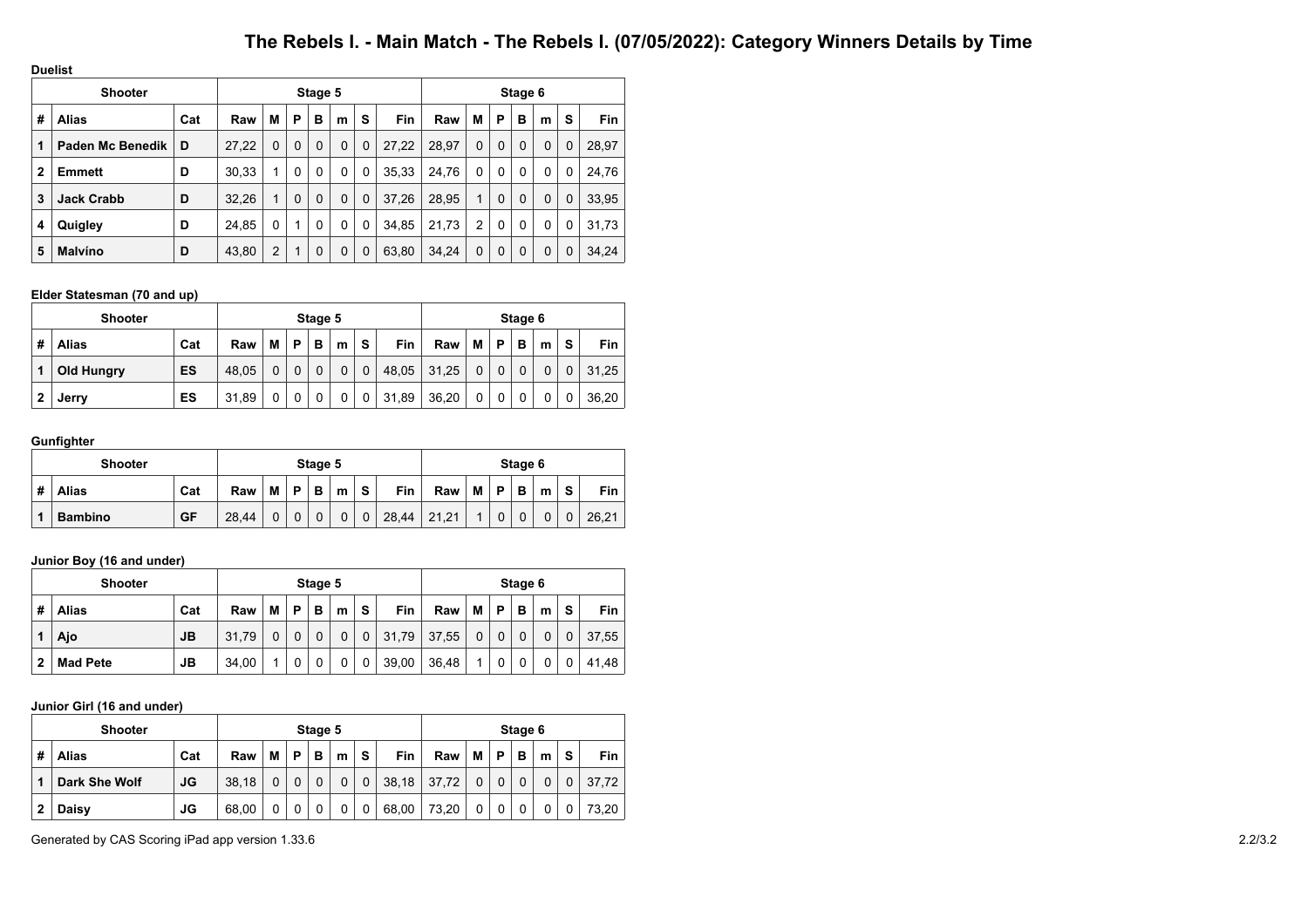**Duelist**

|              | <b>Shooter</b>    |     |       |   |          | Stage 5  |          |             |       |       |              |          | Stage 6     |          |   |            |
|--------------|-------------------|-----|-------|---|----------|----------|----------|-------------|-------|-------|--------------|----------|-------------|----------|---|------------|
| #            | <b>Alias</b>      | Cat | Raw   | M | Р        | в        | m        | S           | Fin   | Raw   | M            | P        | в           | m        | S | <b>Fin</b> |
| 1            | Paden Mc Benedik  | D   | 27.22 | 0 | 0        | 0        | $\Omega$ | $\mathbf 0$ | 27.22 | 28.97 | $\Omega$     | 0        | $\mathbf 0$ | $\Omega$ | 0 | 28,97      |
| $\mathbf{2}$ | <b>Emmett</b>     | D   | 30,33 | 1 | $\Omega$ | $\Omega$ | 0        | 0           | 35,33 | 24,76 | $\mathbf{0}$ | $\Omega$ | 0           | 0        | 0 | 24,76      |
| 3            | <b>Jack Crabb</b> | D   | 32,26 | 1 | 0        | $\Omega$ | $\Omega$ | 0           | 37.26 | 28.95 | 1            | 0        | $\mathbf 0$ | $\Omega$ | 0 | 33,95      |
| 4            | Quigley           | D   | 24,85 | 0 |          | 0        | 0        | 0           | 34,85 | 21,73 | 2            | 0        | 0           | $\Omega$ | 0 | 31,73      |
| 5            | <b>Malvíno</b>    | D   | 43,80 | 2 |          | 0        | 0        | 0           | 63.80 | 34.24 | $\Omega$     | 0        | $\mathbf 0$ | $\Omega$ | 0 | 34.24      |

### **Elder Statesman (70 and up)**

|   | <b>Shooter</b> |           |       |   |   | Stage 5 |   |             |       |       |   |   | Stage 6     |   |   |            |
|---|----------------|-----------|-------|---|---|---------|---|-------------|-------|-------|---|---|-------------|---|---|------------|
| # | <b>Alias</b>   | Cat       | Raw   | М | P | B       | m | S           | Fin   | Raw   | M | Þ | в           | m | S | <b>Fin</b> |
|   | Old Hungry     | <b>ES</b> | 48.05 | 0 | 0 |         |   | $\mathbf 0$ | 48,05 | 31,25 | 0 |   | $\mathbf 0$ | 0 |   | 31.25      |
| 2 | Jerry          | ES        | 31.89 | 0 | 0 |         |   | 0           | 31,89 | 36,20 | 0 |   | 0           | 0 | 0 | 36.20      |

### **Gunfighter**

|   | Shooter        |     |       |   |   | Stage 5 |   |             |            |       |   |   | Stage 6 |   |   |       |
|---|----------------|-----|-------|---|---|---------|---|-------------|------------|-------|---|---|---------|---|---|-------|
| # | <b>Alias</b>   | Cat | Raw   | M | P | В       | m | S           | <b>Fin</b> | Raw   | M | Þ | в       | m | S | Fin   |
|   | <b>Bambino</b> | GF  | 28,44 | 0 |   |         | 0 | $\mathbf 0$ | 28,44      | 21,21 | A | 0 |         | 0 |   | 26.21 |

### **Junior Boy (16 and under)**

|   | <b>Shooter</b>  |           |       |   |   | Stage 5 |   |   |            |       |   |   | Stage 6 |   |   |            |
|---|-----------------|-----------|-------|---|---|---------|---|---|------------|-------|---|---|---------|---|---|------------|
| # | <b>Alias</b>    | Cat       | Raw   | М | Р | в       | m | S | <b>Fin</b> | Raw   | M | P | в       | m | s | <b>Fin</b> |
|   | Ajo             | <b>JB</b> | 31.79 | 0 |   |         |   | 0 | 31,79      | 37,55 | 0 | 0 |         | 0 |   | 37,55      |
| 2 | <b>Mad Pete</b> | JВ        | 34,00 |   |   |         | 0 | 0 | 39,00      | 36,48 | ◢ | 0 |         |   |   | 41.48      |

### **Junior Girl (16 and under)**

|   | <b>Shooter</b> |     |       |   |   | Stage 5 |   |             |            |       |   |   | Stage 6 |   |          |            |
|---|----------------|-----|-------|---|---|---------|---|-------------|------------|-------|---|---|---------|---|----------|------------|
| # | Alias          | Cat | Raw   | М | P | в       | m | S           | <b>Fin</b> | Raw   | M | P | в       | m | S        | <b>Fin</b> |
|   | Dark She Wolf  | JG  | 38.18 | 0 |   |         |   | $\mathbf 0$ | 38,18      | 37,72 |   |   | 0       | 0 | $\Omega$ | 37.72      |
| 2 | Daisy          | JG  | 68,00 | 0 |   |         |   | 0           | 68,00      | 73,20 | 0 |   |         | 0 |          | 73.20      |

Generated by CAS Scoring iPad app version 1.33.6 2.2/3.2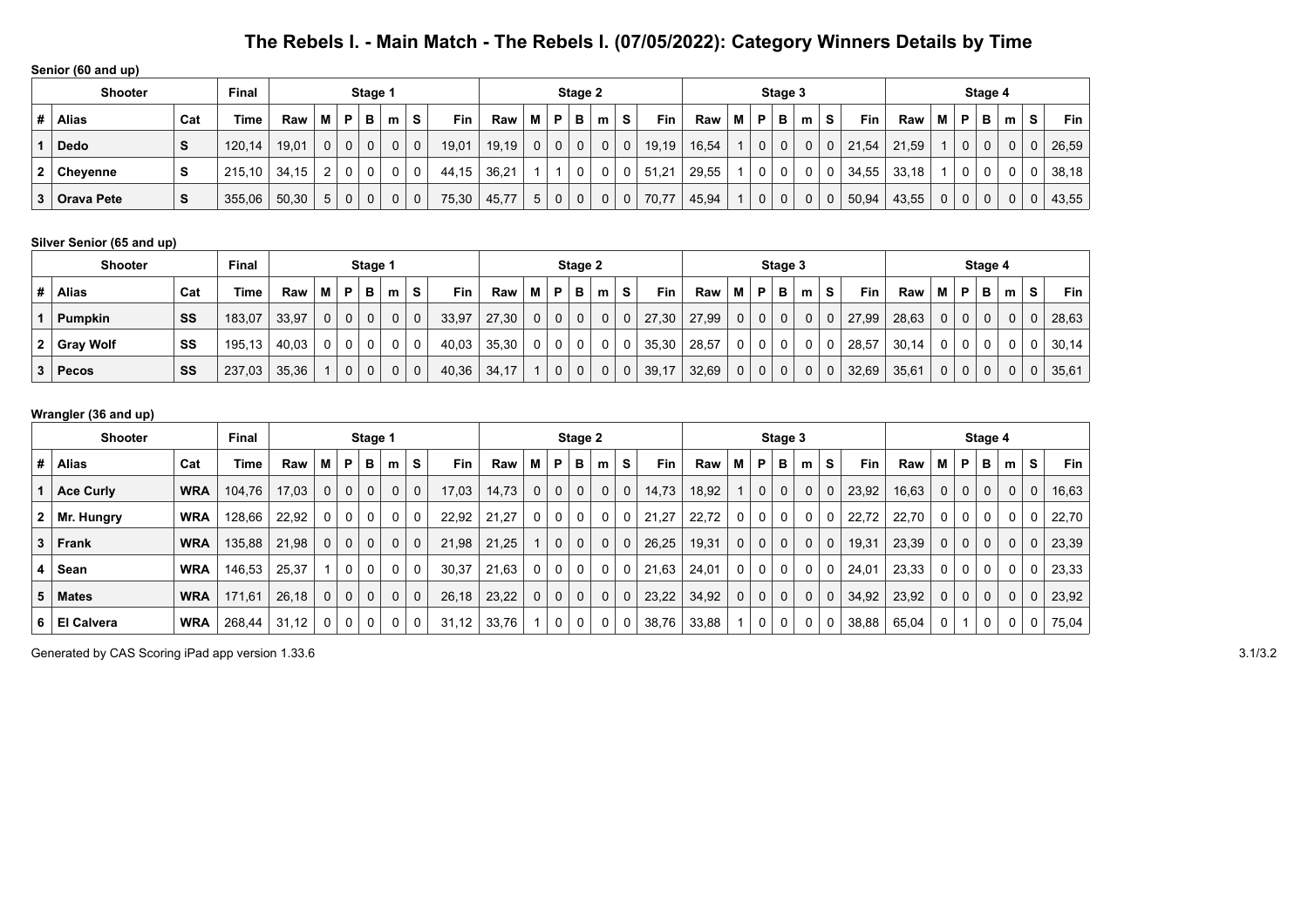| Senior (60 and up) |  |  |  |
|--------------------|--|--|--|
|--------------------|--|--|--|

|   | <b>Shooter</b>    |     | <b>Final</b> |       |                |              | Stage 1      |   |             |       |       |   |             | Stage 2      |              |   |       |       |   |   | Stage 3     |   |   |            |       |              |                | Stage 4     |          |          |            |
|---|-------------------|-----|--------------|-------|----------------|--------------|--------------|---|-------------|-------|-------|---|-------------|--------------|--------------|---|-------|-------|---|---|-------------|---|---|------------|-------|--------------|----------------|-------------|----------|----------|------------|
| # | <b>Alias</b>      | Cat | Time         | Raw   | м              | P            | в            | m | S           | Fin   | Raw   | M | P           | в            | m            | s | Fin   | Raw   | М | P | в           | m | S | <b>Fin</b> | Raw   | М            | D              | в           | m        | s        | <b>Fin</b> |
|   | Dedo              | э   | 120,14       | 19,01 | $\Omega$       | $\mathbf{0}$ | $\mathbf{0}$ |   | $\Omega$    | 19,01 | 19,19 | 0 | $\Omega$    | $\Omega$     | $\mathbf{0}$ | 0 | 19,19 | 16,54 |   | 0 | $\Omega$    |   | 0 | 21,54      | 21,59 |              | 0 <sup>1</sup> | $\mathbf 0$ | $\Omega$ | 0        | 26,59      |
| 2 | <b>Chevenne</b>   | s   | 215.10       | 34.15 | $\overline{2}$ | 0            | 0            |   | 0           | 44.15 | 36,21 |   |             | 0            |              |   | 51,21 | 29.55 |   |   | 0           |   | 0 | 34,55      | 33.18 |              |                |             | 0        | $\Omega$ | 38,18      |
| 3 | <b>Orava Pete</b> | S   | 355,06       | 50,30 | 5              | $\mathbf 0$  | $\mathbf{0}$ |   | $\mathbf 0$ | 75,30 | 45,77 | 5 | $\mathbf 0$ | $\mathbf{0}$ | 0            | 0 | 70,77 | 45,94 |   | 0 | $\mathbf 0$ |   | 0 | 50,94      | 43,55 | $\mathbf{0}$ | 0 <sup>1</sup> |             | 0        | 0        | 43,55      |

### **Silver Senior (65 and up)**

| <b>Shooter</b> |     | <b>Final</b> |       |   |                | Stage 1  |              |          |       |       |   |              | Stage 2      |                |                |            |       |                |                         | Stage 3      |   |             |       |       |                |                | Stage 4      |              |   |       |
|----------------|-----|--------------|-------|---|----------------|----------|--------------|----------|-------|-------|---|--------------|--------------|----------------|----------------|------------|-------|----------------|-------------------------|--------------|---|-------------|-------|-------|----------------|----------------|--------------|--------------|---|-------|
| <b>Alias</b>   | Cat | Time         | Raw   | м | P              | в        | m            | s        | Fin   | Raw   | м | P            | в            | m              | S.             | <b>Fin</b> | Raw   | M I            | $^{\circ}$ P $_{\circ}$ | в.           | m | <b>S</b>    | Fin   | Raw   | м              | P              | в            | m            | s | Fin   |
| <b>Pumpkin</b> | SS  | 183,07       | 33,97 |   | $\overline{0}$ | $\Omega$ | $\mathbf{0}$ | $\Omega$ | 33,97 | 27,30 |   | $\mathbf{0}$ | $\mathbf{0}$ | $\overline{0}$ | 0 <sup>1</sup> | 27,30      | 27.99 | 0 <sup>1</sup> | $\mathbf{0}$            | $\mathbf{0}$ | 0 | 0           | 27.99 | 28,63 | $\mathbf{0}$   | $\overline{0}$ | $\mathbf{0}$ | $\mathbf{0}$ |   | 28,63 |
| 2 Gray Wolf    | SS  | 195, 13      | 40.03 |   | $\Omega$       |          | 0            | 0        | 40,03 | 35,30 |   | $\Omega$     | 0            |                |                | 35,30      | 28,57 | 0 <sup>1</sup> | $\mathbf 0$             | 0            |   | 0           | 28,57 | 30,14 | $\Omega$       |                | 0            | 0            |   | 30,14 |
| <b>Pecos</b>   | SS  | 237,03       | 35,36 |   | $\mathbf 0$    |          | 0            | $\Omega$ | 40,36 | 34,17 |   | $\Omega$     | 0            | $\mathbf{0}$   | 0 <sup>1</sup> | 39,17      | 32,69 | 0 <sup>1</sup> | $\mathbf{0}$            | $\mathbf{0}$ | 0 | $\mathbf 0$ | 32,69 | 35,61 | 0 <sup>1</sup> | $\mathbf 0$    | $\mathbf{0}$ | $\mathbf 0$  |   | 35,61 |

### **Wrangler (36 and up)**

|                | <b>Final</b><br><b>Shooter</b><br>Stage 1 |            |        |       |   |             |              |              |             |       |       |   |              | Stage 2 |             |          |            |       |                |             | Stage 3      |              |             |       |       |             |              | Stage 4     |              |   |            |
|----------------|-------------------------------------------|------------|--------|-------|---|-------------|--------------|--------------|-------------|-------|-------|---|--------------|---------|-------------|----------|------------|-------|----------------|-------------|--------------|--------------|-------------|-------|-------|-------------|--------------|-------------|--------------|---|------------|
| #              | <b>Alias</b>                              | Cat        | Time   | Raw   | М | P           | в            | m            | S           | Fin   | Raw   | М | P            | в       | m           | s        | <b>Fin</b> | Raw   | м              | P           | в            | m            | s           | Fin   | Raw   | м           | P            | в           | m            | s | <b>Fin</b> |
|                | <b>Ace Curly</b>                          | <b>WRA</b> | 104,76 | 17,03 | 0 | $\mathbf 0$ | $\mathbf{0}$ | $\mathbf{0}$ | $\mathbf 0$ | 17,03 | 14,73 |   | $\mathbf{0}$ | 0       | 0           | $\Omega$ | 14,73      | 18,92 | 1 <sup>1</sup> | $\mathbf 0$ | $\mathbf{0}$ | $\mathbf{0}$ | $\mathbf 0$ | 23,92 | 16,63 | $\mathbf 0$ | $\mathbf{0}$ | $\mathbf 0$ | $\mathbf{0}$ | 0 | 16,63      |
|                | $2 \mid Mr.$ Hungry                       | <b>WRA</b> | 128,66 | 22.92 | 0 | $\mathbf 0$ | $\mathbf{0}$ | $\mathbf{0}$ | 0           | 22,92 | 21,27 |   | $\mathbf 0$  | 0       | 0           | 0        | 21,27      | 22,72 | 0 <sup>1</sup> | 0           | $\mathbf 0$  | 0            | 0           | 22,72 | 22,70 | 0           | 0            | 0           | 0            | 0 | 22,70      |
| 3 <sup>1</sup> | Frank                                     | <b>WRA</b> | 135,88 | 21.98 | 0 | $\mathbf 0$ | $\mathbf{0}$ | $\mathbf{0}$ | $\Omega$    | 21.98 | 21.25 |   | $\mathbf{0}$ | 0       | $\mathbf 0$ | $\Omega$ | 26,25      | 19.31 | 0 <sup>1</sup> | $\Omega$    | $\mathbf{0}$ | 0            | $\mathbf 0$ | 19,31 | 23,39 | $\mathbf 0$ | $\mathbf{0}$ | $\mathbf 0$ | $\mathbf 0$  | 0 | 23,39      |
| 4              | Sean                                      | <b>WRA</b> | 146,53 | 25,37 |   | 0           | 0            | 0            | 0           | 30,37 | 21.63 |   | $\mathbf{0}$ | 0       | 0           | 0        | 21,63      | 24,01 | 0 <sup>1</sup> | 0           | $\mathbf 0$  | 0            | 0           | 24,01 | 23,33 | 0           | 0            | 0           | 0            |   | 23,33      |
| 5 <sup>1</sup> | <b>Mates</b>                              | <b>WRA</b> | 171,61 | 26.18 | 0 | 0           | $\mathbf{0}$ | $\mathbf{0}$ | $\mathbf 0$ | 26.18 | 23,22 |   | $\Omega$     | 0       | 0           | $\Omega$ | 23,22      | 34.92 | 0 <sup>1</sup> | $\mathbf 0$ | $\mathbf{0}$ | $\mathbf{0}$ | $\mathbf 0$ | 34,92 | 23,92 | $\mathbf 0$ | $\mathbf{0}$ | $\mathbf 0$ | $\mathbf 0$  | 0 | 23,92      |
| 6              | <b>El Calvera</b>                         | <b>WRA</b> | 268,44 | 31,12 | 0 | 0           | 0            | 0            | 0           | 31,12 | 33,76 |   | 0            | 0       | 0           | 0        | 38,76      | 33,88 |                | 0           |              |              | 0           | 38,88 | 65,04 | 0           |              | 0           | 0            | 0 | 75,04      |

Generated by CAS Scoring iPad app version 1.33.6 3.1/3.2